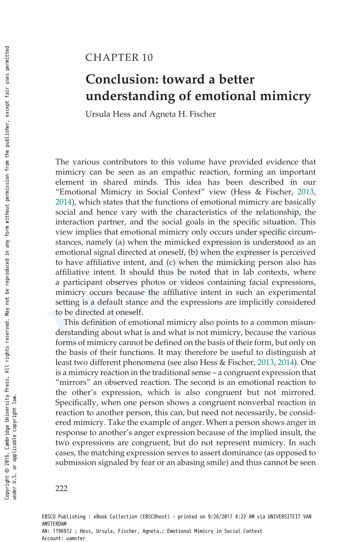# CHAPTER 10

# Conclusion: toward a better understanding of emotional mimicry

Ursula Hess and Agneta H. Fischer

The various contributors to this volume have provided evidence that mimicry can be seen as an empathic reaction, forming an important element in shared minds. This idea has been described in our "Emotional Mimicry in Social Context" view (Hess & Fischer, 2013, 2014), which states that the functions of emotional mimicry are basically social and hence vary with the characteristics of the relationship, the interaction partner, and the social goals in the specific situation. This view implies that emotional mimicry only occurs under specific circumstances, namely (a) when the mimicked expression is understood as an emotional signal directed at oneself, (b) when the expresser is perceived to have affiliative intent, and (c) when the mimicking person also has affiliative intent. It should thus be noted that in lab contexts, where a participant observes photos or videos containing facial expressions, mimicry occurs because the affiliative intent in such an experimental setting is a default stance and the expressions are implicitly considered to be directed at oneself.

This definition of emotional mimicry also points to a common misunderstanding about what is and what is not mimicry, because the various forms of mimicry cannot be defined on the basis of their form, but only on the basis of their functions. It may therefore be useful to distinguish at least two different phenomena (see also Hess & Fischer, 2013, 2014). One is a mimicry reaction in the traditional sense – a congruent expression that "mirrors" an observed reaction. The second is an emotional reaction to the other's expression, which is also congruent but not mirrored. Specifically, when one person shows a congruent nonverbal reaction in reaction to another person, this can, but need not necessarily, be considered mimicry. Take the example of anger. When a person shows anger in response to another's anger expression because of the implied insult, the two expressions are congruent, but do not represent mimicry. In such cases, the matching expression serves to assert dominance (as opposed to submission signaled by fear or an abasing smile) and thus cannot be seen

EBSCO Publishing : eBook Collection (EBSCOhost) - printed on 9/26/2017 4:22 AM via UNIVERSITEIT VAN AMSTERDAM AN: 1196912 ; Hess, Ursula, Fischer, Agneta.; Emotional Mimicry in Social Context Account: uamster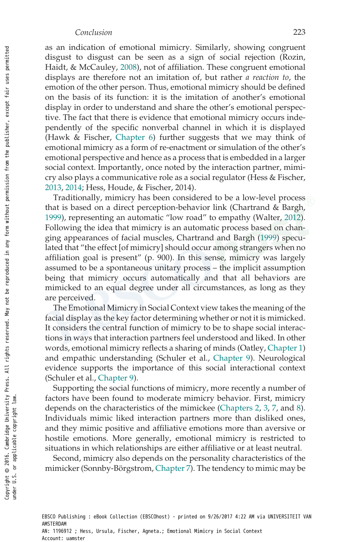#### Conclusion 223

as an indication of emotional mimicry. Similarly, showing congruent disgust to disgust can be seen as a sign of social rejection (Rozin, Haidt, & McCauley, 2008), not of affiliation. These congruent emotional displays are therefore not an imitation of, but rather a reaction to, the emotion of the other person. Thus, emotional mimicry should be defined on the basis of its function: it is the imitation of another's emotional display in order to understand and share the other's emotional perspective. The fact that there is evidence that emotional mimicry occurs independently of the specific nonverbal channel in which it is displayed (Hawk & Fischer, Chapter 6) further suggests that we may think of emotional mimicry as a form of re-enactment or simulation of the other's emotional perspective and hence as a process that is embedded in a larger social context. Importantly, once noted by the interaction partner, mimicry also plays a communicative role as a social regulator (Hess & Fischer, 2013, 2014; Hess, Houde, & Fischer, 2014).

Traditionally, mimicry has been considered to be a low-level process that is based on a direct perception-behavior link (Chartrand & Bargh, 1999), representing an automatic "low road" to empathy (Walter, 2012). Following the idea that mimicry is an automatic process based on changing appearances of facial muscles, Chartrand and Bargh (1999) speculated that "the effect [of mimicry] should occur among strangers when no affiliation goal is present" (p. 900). In this sense, mimicry was largely assumed to be a spontaneous unitary process – the implicit assumption being that mimicry occurs automatically and that all behaviors are mimicked to an equal degree under all circumstances, as long as they are perceived.

The Emotional Mimicry in Social Context view takes the meaning of the facial display as the key factor determining whether or not it is mimicked. It considers the central function of mimicry to be to shape social interactions in ways that interaction partners feel understood and liked. In other words, emotional mimicry reflects a sharing of minds (Oatley, Chapter 1) and empathic understanding (Schuler et al., Chapter 9). Neurological evidence supports the importance of this social interactional context (Schuler et al., Chapter 9).

Supporting the social functions of mimicry, more recently a number of factors have been found to moderate mimicry behavior. First, mimicry depends on the characteristics of the mimickee (Chapters 2, 3, 7, and 8). Individuals mimic liked interaction partners more than disliked ones, and they mimic positive and affiliative emotions more than aversive or hostile emotions. More generally, emotional mimicry is restricted to situations in which relationships are either affiliative or at least neutral.

Second, mimicry also depends on the personality characteristics of the mimicker (Sonnby-Börgstrom, Chapter 7). The tendency to mimic may be

EBSCO Publishing : eBook Collection (EBSCOhost) - printed on 9/26/2017 4:22 AM via UNIVERSITEIT VAN AMSTERDAM AN: 1196912 ; Hess, Ursula, Fischer, Agneta.; Emotional Mimicry in Social Context Account: uamster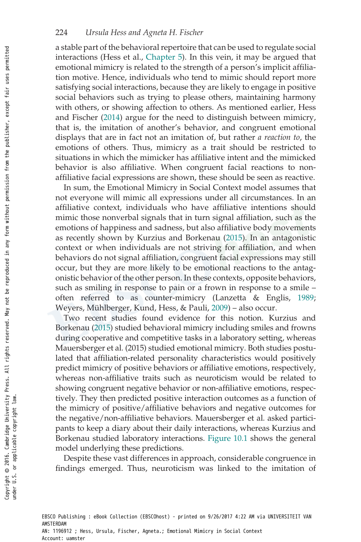### 224 Ursula Hess and Agneta H. Fischer

a stable part of the behavioral repertoire that can be used to regulate social interactions (Hess et al., Chapter 5). In this vein, it may be argued that emotional mimicry is related to the strength of a person's implicit affiliation motive. Hence, individuals who tend to mimic should report more satisfying social interactions, because they are likely to engage in positive social behaviors such as trying to please others, maintaining harmony with others, or showing affection to others. As mentioned earlier, Hess and Fischer (2014) argue for the need to distinguish between mimicry, that is, the imitation of another's behavior, and congruent emotional displays that are in fact not an imitation of, but rather a reaction to, the emotions of others. Thus, mimicry as a trait should be restricted to situations in which the mimicker has affiliative intent and the mimicked behavior is also affiliative. When congruent facial reactions to nonaffiliative facial expressions are shown, these should be seen as reactive.

In sum, the Emotional Mimicry in Social Context model assumes that not everyone will mimic all expressions under all circumstances. In an affiliative context, individuals who have affiliative intentions should mimic those nonverbal signals that in turn signal affiliation, such as the emotions of happiness and sadness, but also affiliative body movements as recently shown by Kurzius and Borkenau (2015). In an antagonistic context or when individuals are not striving for affiliation, and when behaviors do not signal affiliation, congruent facial expressions may still occur, but they are more likely to be emotional reactions to the antagonistic behavior of the other person. In these contexts, opposite behaviors, such as smiling in response to pain or a frown in response to a smile – often referred to as counter-mimicry (Lanzetta & Englis, 1989; Weyers, Mühlberger, Kund, Hess, & Pauli, 2009) – also occur.

Two recent studies found evidence for this notion. Kurzius and Borkenau (2015) studied behavioral mimicry including smiles and frowns during cooperative and competitive tasks in a laboratory setting, whereas Mauersberger et al. (2015) studied emotional mimicry. Both studies postulated that affiliation-related personality characteristics would positively predict mimicry of positive behaviors or affiliative emotions, respectively, whereas non-affiliative traits such as neuroticism would be related to showing congruent negative behavior or non-affiliative emotions, respectively. They then predicted positive interaction outcomes as a function of the mimicry of positive/affiliative behaviors and negative outcomes for the negative/non-affiliative behaviors. Mauersberger et al. asked participants to keep a diary about their daily interactions, whereas Kurzius and Borkenau studied laboratory interactions. Figure 10.1 shows the general model underlying these predictions.

Despite these vast differences in approach, considerable congruence in findings emerged. Thus, neuroticism was linked to the imitation of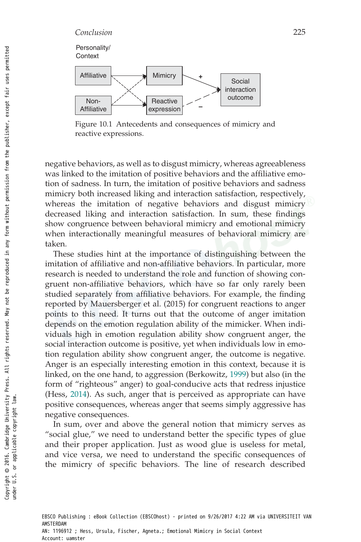

Figure 10.1 Antecedents and consequences of mimicry and reactive expressions.

negative behaviors, as well as to disgust mimicry, whereas agreeableness was linked to the imitation of positive behaviors and the affiliative emotion of sadness. In turn, the imitation of positive behaviors and sadness mimicry both increased liking and interaction satisfaction, respectively, whereas the imitation of negative behaviors and disgust mimicry decreased liking and interaction satisfaction. In sum, these findings show congruence between behavioral mimicry and emotional mimicry when interactionally meaningful measures of behavioral mimicry are taken.

These studies hint at the importance of distinguishing between the imitation of affiliative and non-affiliative behaviors. In particular, more research is needed to understand the role and function of showing congruent non-affiliative behaviors, which have so far only rarely been studied separately from affiliative behaviors. For example, the finding reported by Mauersberger et al. (2015) for congruent reactions to anger points to this need. It turns out that the outcome of anger imitation depends on the emotion regulation ability of the mimicker. When individuals high in emotion regulation ability show congruent anger, the social interaction outcome is positive, yet when individuals low in emotion regulation ability show congruent anger, the outcome is negative. Anger is an especially interesting emotion in this context, because it is linked, on the one hand, to aggression (Berkowitz, 1999) but also (in the form of "righteous" anger) to goal-conducive acts that redress injustice (Hess, 2014). As such, anger that is perceived as appropriate can have positive consequences, whereas anger that seems simply aggressive has negative consequences.

In sum, over and above the general notion that mimicry serves as "social glue," we need to understand better the specific types of glue and their proper application. Just as wood glue is useless for metal, and vice versa, we need to understand the specific consequences of the mimicry of specific behaviors. The line of research described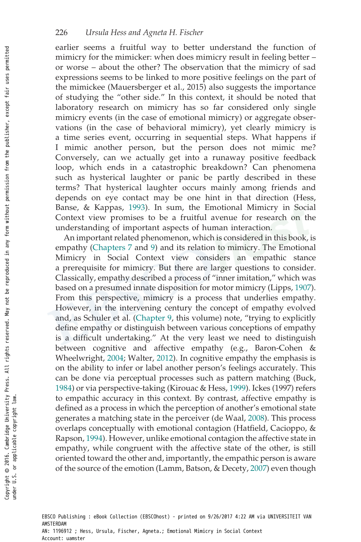earlier seems a fruitful way to better understand the function of mimicry for the mimicker: when does mimicry result in feeling better – or worse – about the other? The observation that the mimicry of sad expressions seems to be linked to more positive feelings on the part of the mimickee (Mauersberger et al., 2015) also suggests the importance of studying the "other side." In this context, it should be noted that laboratory research on mimicry has so far considered only single mimicry events (in the case of emotional mimicry) or aggregate observations (in the case of behavioral mimicry), yet clearly mimicry is a time series event, occurring in sequential steps. What happens if I mimic another person, but the person does not mimic me? Conversely, can we actually get into a runaway positive feedback loop, which ends in a catastrophic breakdown? Can phenomena such as hysterical laughter or panic be partly described in these terms? That hysterical laughter occurs mainly among friends and depends on eye contact may be one hint in that direction (Hess, Banse, & Kappas, 1993). In sum, the Emotional Mimicry in Social Context view promises to be a fruitful avenue for research on the understanding of important aspects of human interaction.

An important related phenomenon, which is considered in this book, is empathy (Chapters 7 and 9) and its relation to mimicry. The Emotional Mimicry in Social Context view considers an empathic stance a prerequisite for mimicry. But there are larger questions to consider. Classically, empathy described a process of "inner imitation," which was based on a presumed innate disposition for motor mimicry (Lipps, 1907). From this perspective, mimicry is a process that underlies empathy. However, in the intervening century the concept of empathy evolved and, as Schuler et al. (Chapter 9, this volume) note, "trying to explicitly define empathy or distinguish between various conceptions of empathy is a difficult undertaking." At the very least we need to distinguish between cognitive and affective empathy (e.g., Baron-Cohen & Wheelwright, 2004; Walter, 2012). In cognitive empathy the emphasis is on the ability to infer or label another person's feelings accurately. This can be done via perceptual processes such as pattern matching (Buck, 1984) or via perspective-taking (Kirouac & Hess, 1999). Ickes (1997) refers to empathic accuracy in this context. By contrast, affective empathy is defined as a process in which the perception of another's emotional state generates a matching state in the perceiver (de Waal, 2008). This process overlaps conceptually with emotional contagion (Hatfield, Cacioppo, & Rapson, 1994). However, unlike emotional contagion the affective state in empathy, while congruent with the affective state of the other, is still oriented toward the other and, importantly, the empathic person is aware of the source of the emotion (Lamm, Batson, & Decety, 2007) even though

EBSCO Publishing : eBook Collection (EBSCOhost) - printed on 9/26/2017 4:22 AM via UNIVERSITEIT VAN AMSTERDAM AN: 1196912 ; Hess, Ursula, Fischer, Agneta.; Emotional Mimicry in Social Context Account: uamster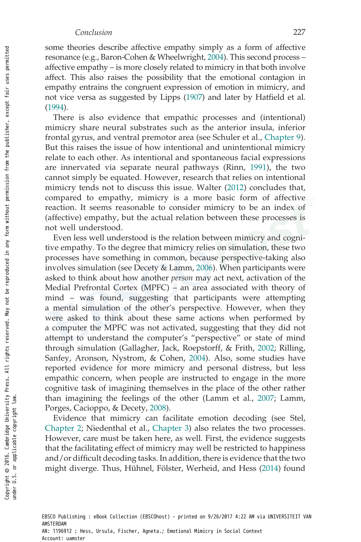some theories describe affective empathy simply as a form of affective resonance (e.g., Baron-Cohen & Wheelwright, 2004). This second process – affective empathy – is more closely related to mimicry in that both involve affect. This also raises the possibility that the emotional contagion in empathy entrains the congruent expression of emotion in mimicry, and not vice versa as suggested by Lipps (1907) and later by Hatfield et al. (1994).

There is also evidence that empathic processes and (intentional) mimicry share neural substrates such as the anterior insula, inferior frontal gyrus, and ventral premotor area (see Schuler et al., Chapter 9). But this raises the issue of how intentional and unintentional mimicry relate to each other. As intentional and spontaneous facial expressions are innervated via separate neural pathways (Rinn, 1991), the two cannot simply be equated. However, research that relies on intentional mimicry tends not to discuss this issue. Walter (2012) concludes that, compared to empathy, mimicry is a more basic form of affective reaction. It seems reasonable to consider mimicry to be an index of (affective) empathy, but the actual relation between these processes is not well understood.

Even less well understood is the relation between mimicry and cognitive empathy. To the degree that mimicry relies on simulation, these two processes have something in common, because perspective-taking also involves simulation (see Decety & Lamm, 2006). When participants were asked to think about how another person may act next, activation of the Medial Prefrontal Cortex (MPFC) – an area associated with theory of mind – was found, suggesting that participants were attempting a mental simulation of the other's perspective. However, when they were asked to think about these same actions when performed by a computer the MPFC was not activated, suggesting that they did not attempt to understand the computer's "perspective" or state of mind through simulation (Gallagher, Jack, Roepstorff, & Frith, 2002; Rilling, Sanfey, Aronson, Nystrom, & Cohen, 2004). Also, some studies have reported evidence for more mimicry and personal distress, but less empathic concern, when people are instructed to engage in the more cognitive task of imagining themselves in the place of the other rather than imagining the feelings of the other (Lamm et al., 2007; Lamm, Porges, Cacioppo, & Decety, 2008).

Evidence that mimicry can facilitate emotion decoding (see Stel, Chapter 2; Niedenthal et al., Chapter 3) also relates the two processes. However, care must be taken here, as well. First, the evidence suggests that the facilitating effect of mimicry may well be restricted to happiness and/or difficult decoding tasks. In addition, there is evidence that the two might diverge. Thus, Hühnel, Fölster, Werheid, and Hess (2014) found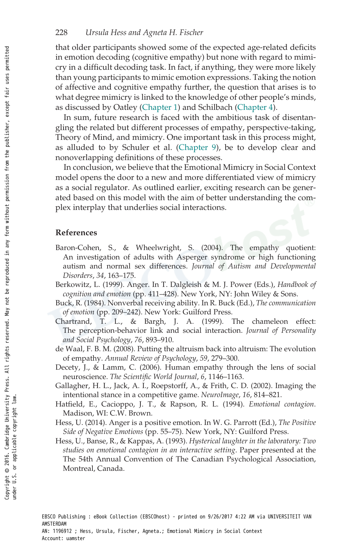that older participants showed some of the expected age-related deficits in emotion decoding (cognitive empathy) but none with regard to mimicry in a difficult decoding task. In fact, if anything, they were more likely than young participants to mimic emotion expressions. Taking the notion of affective and cognitive empathy further, the question that arises is to what degree mimicry is linked to the knowledge of other people's minds, as discussed by Oatley (Chapter 1) and Schilbach (Chapter 4).

In sum, future research is faced with the ambitious task of disentangling the related but different processes of empathy, perspective-taking, Theory of Mind, and mimicry. One important task in this process might, as alluded to by Schuler et al. (Chapter 9), be to develop clear and nonoverlapping definitions of these processes.

In conclusion, we believe that the Emotional Mimicry in Social Context model opens the door to a new and more differentiated view of mimicry as a social regulator. As outlined earlier, exciting research can be generated based on this model with the aim of better understanding the complex interplay that underlies social interactions.

## References

- Baron-Cohen, S., & Wheelwright, S. (2004). The empathy quotient: An investigation of adults with Asperger syndrome or high functioning autism and normal sex differences. Journal of Autism and Developmental Disorders, 34, 163–175.
- Berkowitz, L. (1999). Anger. In T. Dalgleish & M. J. Power (Eds.), Handbook of cognition and emotion (pp. 411–428). New York, NY: John Wiley & Sons.
- Buck, R. (1984). Nonverbal receiving ability. In R. Buck (Ed.), The communication of emotion (pp. 209–242). New York: Guilford Press.
- Chartrand, T. L., & Bargh, J. A. (1999). The chameleon effect: The perception-behavior link and social interaction. Journal of Personality and Social Psychology, 76, 893–910.
- de Waal, F. B. M. (2008). Putting the altruism back into altruism: The evolution of empathy. Annual Review of Psychology, 59, 279–300.
- Decety, J., & Lamm, C. (2006). Human empathy through the lens of social neuroscience. The Scientific World Journal, 6, 1146–1163.
- Gallagher, H. L., Jack, A. I., Roepstorff, A., & Frith, C. D. (2002). Imaging the intentional stance in a competitive game. NeuroImage, 16, 814–821.
- Hatfield, E., Cacioppo, J. T., & Rapson, R. L. (1994). Emotional contagion. Madison, WI: C.W. Brown.
- Hess, U. (2014). Anger is a positive emotion. In W. G. Parrott (Ed.), The Positive Side of Negative Emotions (pp. 55–75). New York, NY: Guilford Press.
- Hess, U., Banse, R., & Kappas, A. (1993). Hysterical laughter in the laboratory: Two studies on emotional contagion in an interactive setting. Paper presented at the The 54th Annual Convention of The Canadian Psychological Association, Montreal, Canada.